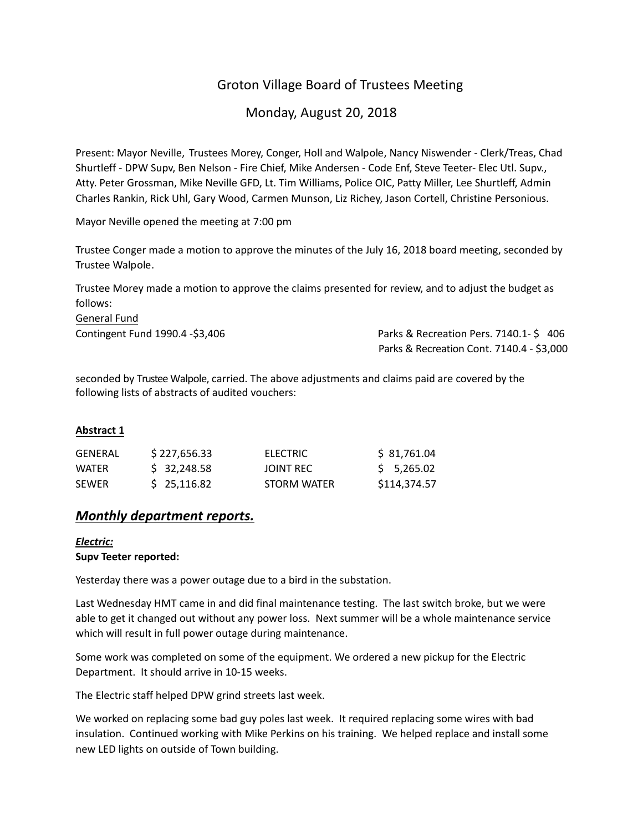# Groton Village Board of Trustees Meeting

# Monday, August 20, 2018

Present: Mayor Neville, Trustees Morey, Conger, Holl and Walpole, Nancy Niswender ‐ Clerk/Treas, Chad Shurtleff ‐ DPW Supv, Ben Nelson ‐ Fire Chief, Mike Andersen ‐ Code Enf, Steve Teeter‐ Elec Utl. Supv., Atty. Peter Grossman, Mike Neville GFD, Lt. Tim Williams, Police OIC, Patty Miller, Lee Shurtleff, Admin Charles Rankin, Rick Uhl, Gary Wood, Carmen Munson, Liz Richey, Jason Cortell, Christine Personious.

Mayor Neville opened the meeting at 7:00 pm

Trustee Conger made a motion to approve the minutes of the July 16, 2018 board meeting, seconded by Trustee Walpole.

Trustee Morey made a motion to approve the claims presented for review, and to adjust the budget as follows:

General Fund

Contingent Fund 1990.4 ‐\$3,406 Parks & Recreation Pers. 7140.1- \$ 406 Parks & Recreation Cont. 7140.4 ‐ \$3,000

seconded by Trustee Walpole, carried. The above adjustments and claims paid are covered by the following lists of abstracts of audited vouchers:

# **Abstract 1**

| GENERAL      | \$227.656.33 | ELECTRIC    | S 81.761.04  |
|--------------|--------------|-------------|--------------|
| <b>WATFR</b> | \$ 32,248.58 | JOINT REC   | 5.265.02     |
| <b>SFWFR</b> | \$25,116.82  | STORM WATER | \$114,374.57 |

# *Monthly department reports.*

#### *Electric:* **Supv Teeter reported:**

Yesterday there was a power outage due to a bird in the substation.

Last Wednesday HMT came in and did final maintenance testing. The last switch broke, but we were able to get it changed out without any power loss. Next summer will be a whole maintenance service which will result in full power outage during maintenance.

Some work was completed on some of the equipment. We ordered a new pickup for the Electric Department. It should arrive in 10‐15 weeks.

The Electric staff helped DPW grind streets last week.

We worked on replacing some bad guy poles last week. It required replacing some wires with bad insulation. Continued working with Mike Perkins on his training. We helped replace and install some new LED lights on outside of Town building.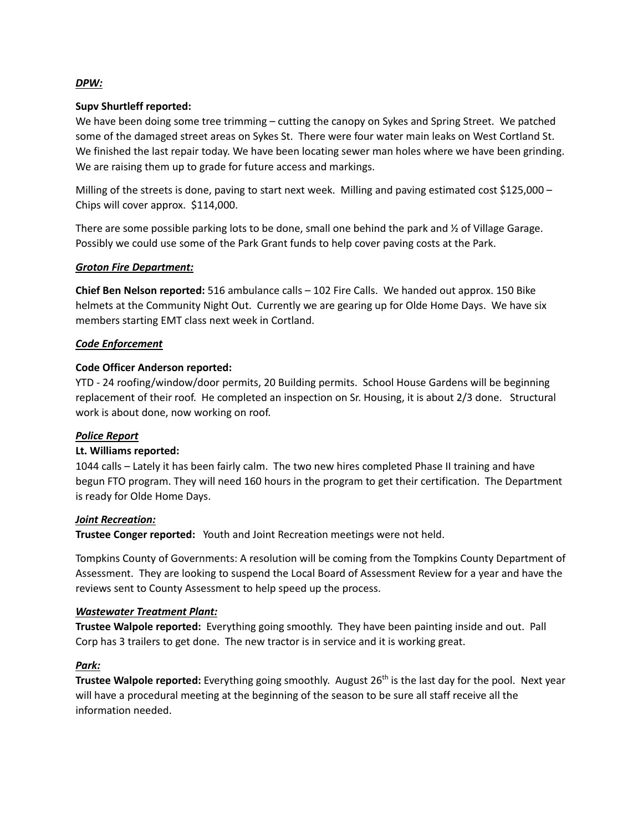#### *DPW:*

#### **Supv Shurtleff reported:**

We have been doing some tree trimming – cutting the canopy on Sykes and Spring Street. We patched some of the damaged street areas on Sykes St. There were four water main leaks on West Cortland St. We finished the last repair today. We have been locating sewer man holes where we have been grinding. We are raising them up to grade for future access and markings.

Milling of the streets is done, paving to start next week. Milling and paving estimated cost \$125,000 – Chips will cover approx. \$114,000.

There are some possible parking lots to be done, small one behind the park and ½ of Village Garage. Possibly we could use some of the Park Grant funds to help cover paving costs at the Park.

#### *Groton Fire Department:*

**Chief Ben Nelson reported:** 516 ambulance calls – 102 Fire Calls. We handed out approx. 150 Bike helmets at the Community Night Out. Currently we are gearing up for Olde Home Days. We have six members starting EMT class next week in Cortland.

#### *Code Enforcement*

#### **Code Officer Anderson reported:**

YTD ‐ 24 roofing/window/door permits, 20 Building permits. School House Gardens will be beginning replacement of their roof. He completed an inspection on Sr. Housing, it is about 2/3 done. Structural work is about done, now working on roof.

## *Police Report*

## **Lt. Williams reported:**

1044 calls – Lately it has been fairly calm. The two new hires completed Phase II training and have begun FTO program. They will need 160 hours in the program to get their certification. The Department is ready for Olde Home Days.

#### *Joint Recreation:*

**Trustee Conger reported:** Youth and Joint Recreation meetings were not held.

Tompkins County of Governments: A resolution will be coming from the Tompkins County Department of Assessment. They are looking to suspend the Local Board of Assessment Review for a year and have the reviews sent to County Assessment to help speed up the process.

#### *Wastewater Treatment Plant:*

**Trustee Walpole reported:** Everything going smoothly. They have been painting inside and out. Pall Corp has 3 trailers to get done. The new tractor is in service and it is working great.

#### *Park:*

**Trustee Walpole reported:** Everything going smoothly. August 26th is the last day for the pool. Next year will have a procedural meeting at the beginning of the season to be sure all staff receive all the information needed.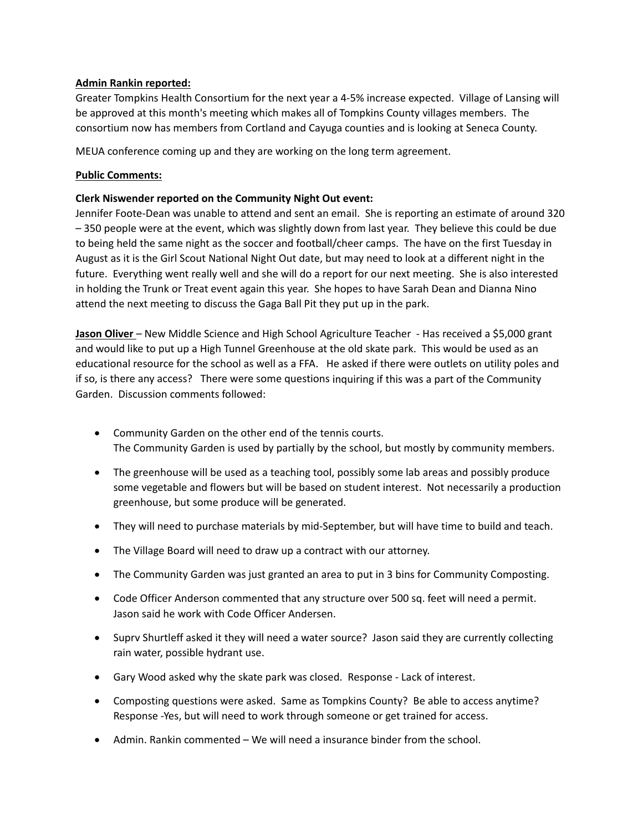## **Admin Rankin reported:**

Greater Tompkins Health Consortium for the next year a 4‐5% increase expected. Village of Lansing will be approved at this month's meeting which makes all of Tompkins County villages members. The consortium now has members from Cortland and Cayuga counties and is looking at Seneca County.

MEUA conference coming up and they are working on the long term agreement.

# **Public Comments:**

# **Clerk Niswender reported on the Community Night Out event:**

Jennifer Foote‐Dean was unable to attend and sent an email. She is reporting an estimate of around 320 – 350 people were at the event, which was slightly down from last year. They believe this could be due to being held the same night as the soccer and football/cheer camps. The have on the first Tuesday in August as it is the Girl Scout National Night Out date, but may need to look at a different night in the future. Everything went really well and she will do a report for our next meeting. She is also interested in holding the Trunk or Treat event again this year. She hopes to have Sarah Dean and Dianna Nino attend the next meeting to discuss the Gaga Ball Pit they put up in the park.

**Jason Oliver** – New Middle Science and High School Agriculture Teacher ‐ Has received a \$5,000 grant and would like to put up a High Tunnel Greenhouse at the old skate park. This would be used as an educational resource for the school as well as a FFA. He asked if there were outlets on utility poles and if so, is there any access? There were some questions inquiring if this was a part of the Community Garden. Discussion comments followed:

- Community Garden on the other end of the tennis courts. The Community Garden is used by partially by the school, but mostly by community members.
- The greenhouse will be used as a teaching tool, possibly some lab areas and possibly produce some vegetable and flowers but will be based on student interest. Not necessarily a production greenhouse, but some produce will be generated.
- They will need to purchase materials by mid-September, but will have time to build and teach.
- The Village Board will need to draw up a contract with our attorney.
- The Community Garden was just granted an area to put in 3 bins for Community Composting.
- Code Officer Anderson commented that any structure over 500 sq. feet will need a permit. Jason said he work with Code Officer Andersen.
- Suprv Shurtleff asked it they will need a water source? Jason said they are currently collecting rain water, possible hydrant use.
- Gary Wood asked why the skate park was closed. Response ‐ Lack of interest.
- Composting questions were asked. Same as Tompkins County? Be able to access anytime? Response ‐Yes, but will need to work through someone or get trained for access.
- Admin. Rankin commented We will need a insurance binder from the school.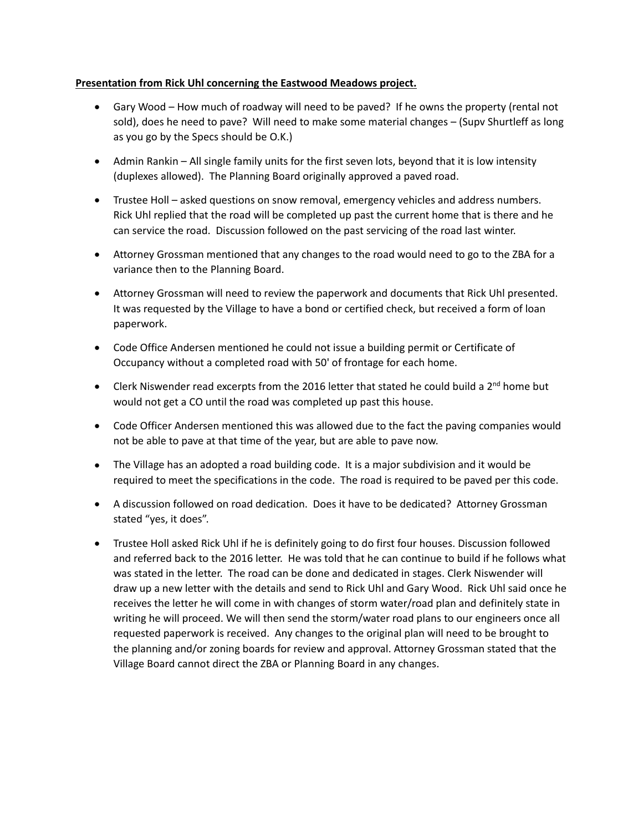## **Presentation from Rick Uhl concerning the Eastwood Meadows project.**

- Gary Wood How much of roadway will need to be paved? If he owns the property (rental not sold), does he need to pave? Will need to make some material changes – (Supv Shurtleff as long as you go by the Specs should be O.K.)
- Admin Rankin All single family units for the first seven lots, beyond that it is low intensity (duplexes allowed). The Planning Board originally approved a paved road.
- Trustee Holl asked questions on snow removal, emergency vehicles and address numbers. Rick Uhl replied that the road will be completed up past the current home that is there and he can service the road. Discussion followed on the past servicing of the road last winter.
- Attorney Grossman mentioned that any changes to the road would need to go to the ZBA for a variance then to the Planning Board.
- Attorney Grossman will need to review the paperwork and documents that Rick Uhl presented. It was requested by the Village to have a bond or certified check, but received a form of loan paperwork.
- Code Office Andersen mentioned he could not issue a building permit or Certificate of Occupancy without a completed road with 50' of frontage for each home.
- $\bullet$  Clerk Niswender read excerpts from the 2016 letter that stated he could build a 2<sup>nd</sup> home but would not get a CO until the road was completed up past this house.
- Code Officer Andersen mentioned this was allowed due to the fact the paving companies would not be able to pave at that time of the year, but are able to pave now.
- The Village has an adopted a road building code. It is a major subdivision and it would be required to meet the specifications in the code. The road is required to be paved per this code.
- A discussion followed on road dedication. Does it have to be dedicated? Attorney Grossman stated "yes, it does".
- Trustee Holl asked Rick Uhl if he is definitely going to do first four houses. Discussion followed and referred back to the 2016 letter. He was told that he can continue to build if he follows what was stated in the letter. The road can be done and dedicated in stages. Clerk Niswender will draw up a new letter with the details and send to Rick Uhl and Gary Wood. Rick Uhl said once he receives the letter he will come in with changes of storm water/road plan and definitely state in writing he will proceed. We will then send the storm/water road plans to our engineers once all requested paperwork is received. Any changes to the original plan will need to be brought to the planning and/or zoning boards for review and approval. Attorney Grossman stated that the Village Board cannot direct the ZBA or Planning Board in any changes.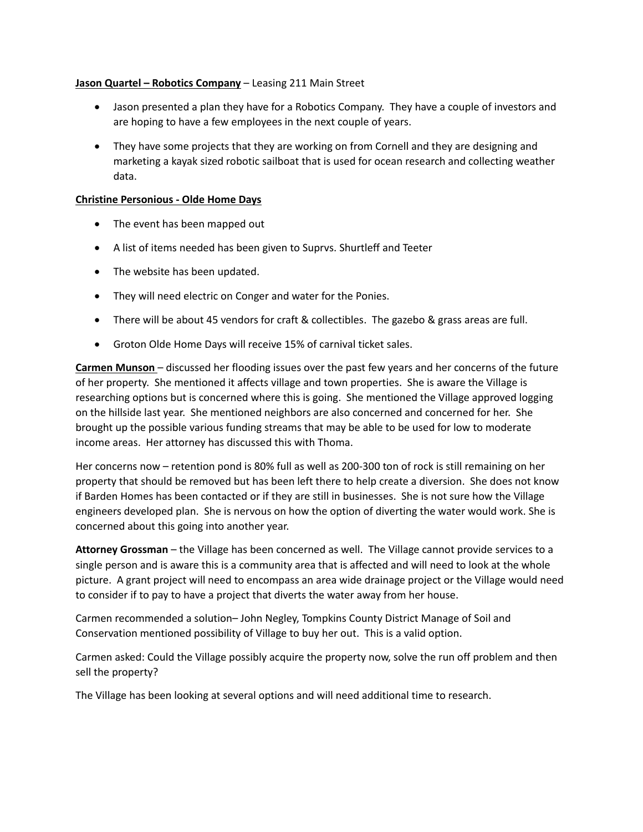## **Jason Quartel – Robotics Company** – Leasing 211 Main Street

- Jason presented a plan they have for a Robotics Company. They have a couple of investors and are hoping to have a few employees in the next couple of years.
- They have some projects that they are working on from Cornell and they are designing and marketing a kayak sized robotic sailboat that is used for ocean research and collecting weather data.

### **Christine Personious ‐ Olde Home Days**

- The event has been mapped out
- A list of items needed has been given to Suprvs. Shurtleff and Teeter
- The website has been updated.
- They will need electric on Conger and water for the Ponies.
- There will be about 45 vendors for craft & collectibles. The gazebo & grass areas are full.
- Groton Olde Home Days will receive 15% of carnival ticket sales.

**Carmen Munson** – discussed her flooding issues over the past few years and her concerns of the future of her property. She mentioned it affects village and town properties. She is aware the Village is researching options but is concerned where this is going. She mentioned the Village approved logging on the hillside last year. She mentioned neighbors are also concerned and concerned for her. She brought up the possible various funding streams that may be able to be used for low to moderate income areas. Her attorney has discussed this with Thoma.

Her concerns now – retention pond is 80% full as well as 200-300 ton of rock is still remaining on her property that should be removed but has been left there to help create a diversion. She does not know if Barden Homes has been contacted or if they are still in businesses. She is not sure how the Village engineers developed plan. She is nervous on how the option of diverting the water would work. She is concerned about this going into another year.

**Attorney Grossman** – the Village has been concerned as well. The Village cannot provide services to a single person and is aware this is a community area that is affected and will need to look at the whole picture. A grant project will need to encompass an area wide drainage project or the Village would need to consider if to pay to have a project that diverts the water away from her house.

Carmen recommended a solution– John Negley, Tompkins County District Manage of Soil and Conservation mentioned possibility of Village to buy her out. This is a valid option.

Carmen asked: Could the Village possibly acquire the property now, solve the run off problem and then sell the property?

The Village has been looking at several options and will need additional time to research.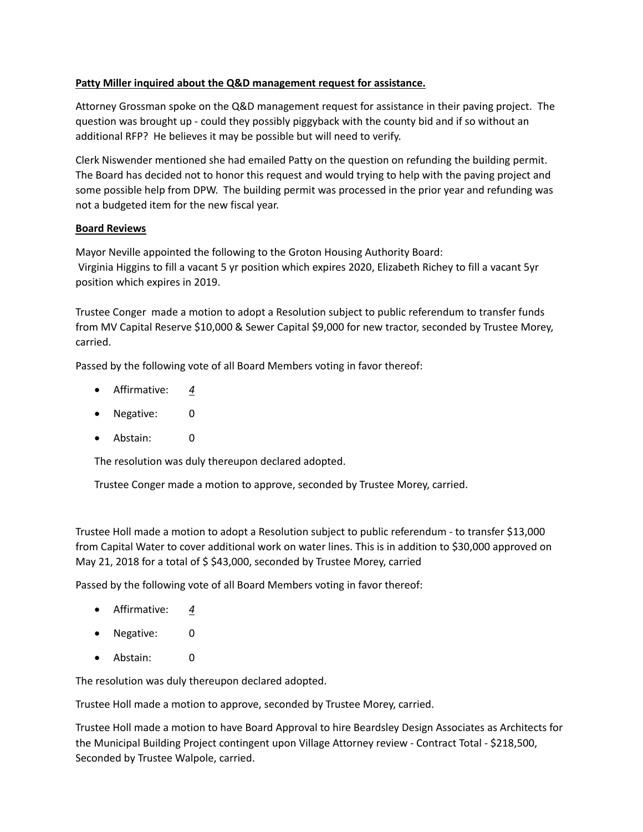# **Patty Miller inquired about the Q&D management request for assistance.**

Attorney Grossman spoke on the Q&D management request for assistance in their paving project. The question was brought up ‐ could they possibly piggyback with the county bid and if so without an additional RFP? He believes it may be possible but will need to verify.

Clerk Niswender mentioned she had emailed Patty on the question on refunding the building permit. The Board has decided not to honor this request and would trying to help with the paving project and some possible help from DPW. The building permit was processed in the prior year and refunding was not a budgeted item for the new fiscal year.

## **Board Reviews**

Mayor Neville appointed the following to the Groton Housing Authority Board: Virginia Higgins to fill a vacant 5 yr position which expires 2020, Elizabeth Richey to fill a vacant 5yr position which expires in 2019.

Trustee Conger made a motion to adopt a Resolution subject to public referendum to transfer funds from MV Capital Reserve \$10,000 & Sewer Capital \$9,000 for new tractor, seconded by Trustee Morey, carried.

Passed by the following vote of all Board Members voting in favor thereof:

- Affirmative: *4*
- Negative: 0
- Abstain: 0

The resolution was duly thereupon declared adopted.

Trustee Conger made a motion to approve, seconded by Trustee Morey, carried.

Trustee Holl made a motion to adopt a Resolution subject to public referendum ‐ to transfer \$13,000 from Capital Water to cover additional work on water lines. This is in addition to \$30,000 approved on May 21, 2018 for a total of \$ \$43,000, seconded by Trustee Morey, carried

Passed by the following vote of all Board Members voting in favor thereof:

- Affirmative: *4*
- Negative: 0
- Abstain: 0

The resolution was duly thereupon declared adopted.

Trustee Holl made a motion to approve, seconded by Trustee Morey, carried.

Trustee Holl made a motion to have Board Approval to hire Beardsley Design Associates as Architects for the Municipal Building Project contingent upon Village Attorney review ‐ Contract Total ‐ \$218,500, Seconded by Trustee Walpole, carried.